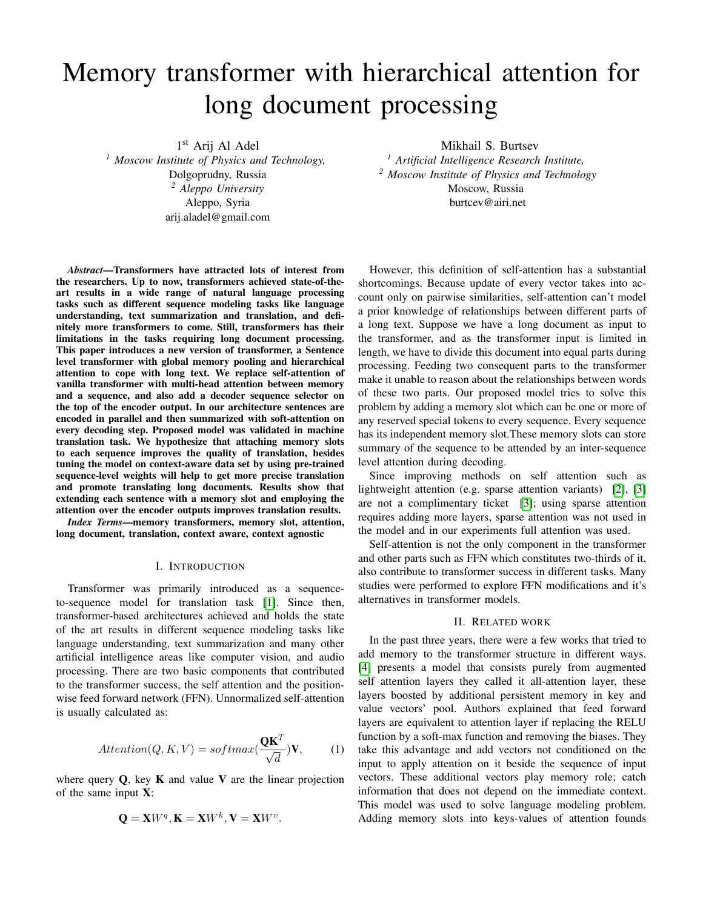# Memory transformer with hierarchical attention for long document processing

1 st Arij Al Adel *<sup>1</sup> Moscow Institute of Physics and Technology,* Dolgoprudny, Russia *<sup>2</sup> Aleppo University* Aleppo, Syria arij.aladel@gmail.com

*Abstract*—Transformers have attracted lots of interest from the researchers. Up to now, transformers achieved state-of-theart results in a wide range of natural language processing tasks such as different sequence modeling tasks like language understanding, text summarization and translation, and definitely more transformers to come. Still, transformers has their limitations in the tasks requiring long document processing. This paper introduces a new version of transformer, a Sentence level transformer with global memory pooling and hierarchical attention to cope with long text. We replace self-attention of vanilla transformer with multi-head attention between memory and a sequence, and also add a decoder sequence selector on the top of the encoder output. In our architecture sentences are encoded in parallel and then summarized with soft-attention on every decoding step. Proposed model was validated in machine translation task. We hypothesize that attaching memory slots to each sequence improves the quality of translation, besides tuning the model on context-aware data set by using pre-trained sequence-level weights will help to get more precise translation and promote translating long documents. Results show that extending each sentence with a memory slot and employing the attention over the encoder outputs improves translation results.

*Index Terms*—memory transformers, memory slot, attention, long document, translation, context aware, context agnostic

## I. INTRODUCTION

Transformer was primarily introduced as a sequenceto-sequence model for translation task [\[1\]](#page-6-0). Since then, transformer-based architectures achieved and holds the state of the art results in different sequence modeling tasks like language understanding, text summarization and many other artificial intelligence areas like computer vision, and audio processing. There are two basic components that contributed to the transformer success, the self attention and the positionwise feed forward network (FFN). Unnormalized self-attention is usually calculated as:

$$
Attention(Q, K, V) = softmax(\frac{\mathbf{QK}^T}{\sqrt{d}})\mathbf{V},\qquad(1)
$$

where query  $Q$ , key  $K$  and value  $V$  are the linear projection of the same input X:

$$
\mathbf{Q} = \mathbf{X}W^q, \mathbf{K} = \mathbf{X}W^k, \mathbf{V} = \mathbf{X}W^v.
$$

Mikhail S. Burtsev *<sup>1</sup> Artificial Intelligence Research Institute, <sup>2</sup> Moscow Institute of Physics and Technology* Moscow, Russia burtcev@airi.net

However, this definition of self-attention has a substantial shortcomings. Because update of every vector takes into account only on pairwise similarities, self-attention can't model a prior knowledge of relationships between different parts of a long text. Suppose we have a long document as input to the transformer, and as the transformer input is limited in length, we have to divide this document into equal parts during processing. Feeding two consequent parts to the transformer make it unable to reason about the relationships between words of these two parts. Our proposed model tries to solve this problem by adding a memory slot which can be one or more of any reserved special tokens to every sequence. Every sequence has its independent memory slot.These memory slots can store summary of the sequence to be attended by an inter-sequence level attention during decoding.

Since improving methods on self attention such as lightweight attention (e.g. sparse attention variants) [\[2\]](#page-6-1), [\[3\]](#page-6-2) are not a complimentary ticket [\[3\]](#page-6-2); using sparse attention requires adding more layers, sparse attention was not used in the model and in our experiments full attention was used.

Self-attention is not the only component in the transformer and other parts such as FFN which constitutes two-thirds of it, also contribute to transformer success in different tasks. Many studies were performed to explore FFN modifications and it's alternatives in transformer models.

## II. RELATED WORK

In the past three years, there were a few works that tried to add memory to the transformer structure in different ways. [\[4\]](#page-6-3) presents a model that consists purely from augmented self attention layers they called it all-attention layer, these layers boosted by additional persistent memory in key and value vectors' pool. Authors explained that feed forward layers are equivalent to attention layer if replacing the RELU function by a soft-max function and removing the biases. They take this advantage and add vectors not conditioned on the input to apply attention on it beside the sequence of input vectors. These additional vectors play memory role; catch information that does not depend on the immediate context. This model was used to solve language modeling problem. Adding memory slots into keys-values of attention founds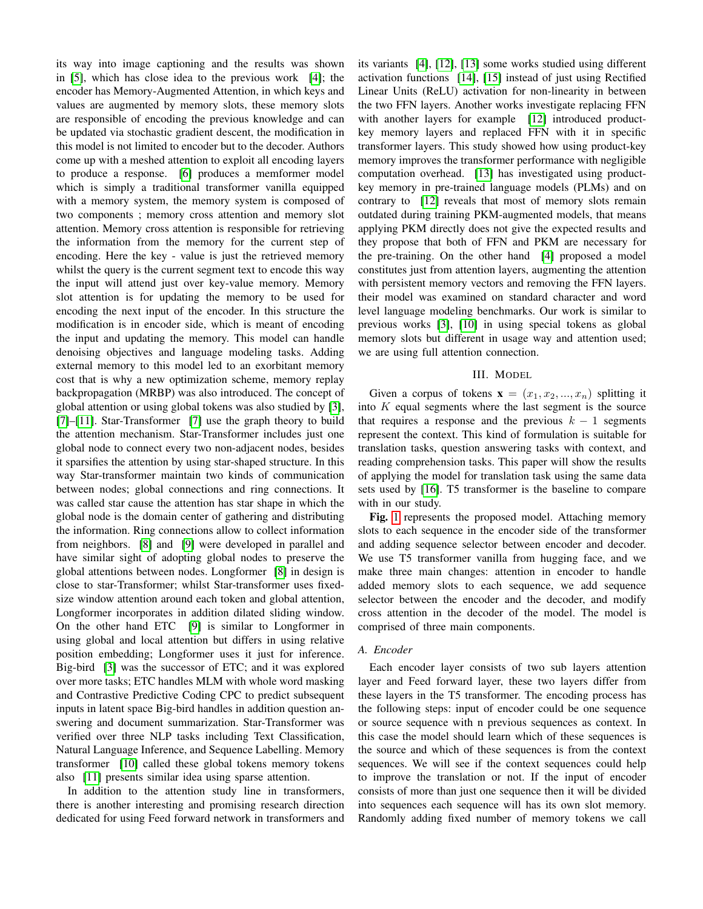its way into image captioning and the results was shown in [\[5\]](#page-6-4), which has close idea to the previous work [\[4\]](#page-6-3); the encoder has Memory-Augmented Attention, in which keys and values are augmented by memory slots, these memory slots are responsible of encoding the previous knowledge and can be updated via stochastic gradient descent, the modification in this model is not limited to encoder but to the decoder. Authors come up with a meshed attention to exploit all encoding layers to produce a response. [\[6\]](#page-6-5) produces a memformer model which is simply a traditional transformer vanilla equipped with a memory system, the memory system is composed of two components ; memory cross attention and memory slot attention. Memory cross attention is responsible for retrieving the information from the memory for the current step of encoding. Here the key - value is just the retrieved memory whilst the query is the current segment text to encode this way the input will attend just over key-value memory. Memory slot attention is for updating the memory to be used for encoding the next input of the encoder. In this structure the modification is in encoder side, which is meant of encoding the input and updating the memory. This model can handle denoising objectives and language modeling tasks. Adding external memory to this model led to an exorbitant memory cost that is why a new optimization scheme, memory replay backpropagation (MRBP) was also introduced. The concept of global attention or using global tokens was also studied by [\[3\]](#page-6-2), [\[7\]](#page-6-6)–[\[11\]](#page-6-7). Star-Transformer [\[7\]](#page-6-6) use the graph theory to build the attention mechanism. Star-Transformer includes just one global node to connect every two non-adjacent nodes, besides it sparsifies the attention by using star-shaped structure. In this way Star-transformer maintain two kinds of communication between nodes; global connections and ring connections. It was called star cause the attention has star shape in which the global node is the domain center of gathering and distributing the information. Ring connections allow to collect information from neighbors. [\[8\]](#page-6-8) and [\[9\]](#page-6-9) were developed in parallel and have similar sight of adopting global nodes to preserve the global attentions between nodes. Longformer [\[8\]](#page-6-8) in design is close to star-Transformer; whilst Star-transformer uses fixedsize window attention around each token and global attention, Longformer incorporates in addition dilated sliding window. On the other hand ETC [\[9\]](#page-6-9) is similar to Longformer in using global and local attention but differs in using relative position embedding; Longformer uses it just for inference. Big-bird [\[3\]](#page-6-2) was the successor of ETC; and it was explored over more tasks; ETC handles MLM with whole word masking and Contrastive Predictive Coding CPC to predict subsequent inputs in latent space Big-bird handles in addition question answering and document summarization. Star-Transformer was verified over three NLP tasks including Text Classification, Natural Language Inference, and Sequence Labelling. Memory transformer [\[10\]](#page-6-10) called these global tokens memory tokens also [\[11\]](#page-6-7) presents similar idea using sparse attention.

In addition to the attention study line in transformers, there is another interesting and promising research direction dedicated for using Feed forward network in transformers and its variants [\[4\]](#page-6-3), [\[12\]](#page-6-11), [\[13\]](#page-6-12) some works studied using different activation functions [\[14\]](#page-6-13), [\[15\]](#page-6-14) instead of just using Rectified Linear Units (ReLU) activation for non-linearity in between the two FFN layers. Another works investigate replacing FFN with another layers for example [\[12\]](#page-6-11) introduced productkey memory layers and replaced FFN with it in specific transformer layers. This study showed how using product-key memory improves the transformer performance with negligible computation overhead. [\[13\]](#page-6-12) has investigated using productkey memory in pre-trained language models (PLMs) and on contrary to [\[12\]](#page-6-11) reveals that most of memory slots remain outdated during training PKM-augmented models, that means applying PKM directly does not give the expected results and they propose that both of FFN and PKM are necessary for the pre-training. On the other hand [\[4\]](#page-6-3) proposed a model constitutes just from attention layers, augmenting the attention with persistent memory vectors and removing the FFN layers. their model was examined on standard character and word level language modeling benchmarks. Our work is similar to previous works [\[3\]](#page-6-2), [\[10\]](#page-6-10) in using special tokens as global memory slots but different in usage way and attention used; we are using full attention connection.

#### III. MODEL

Given a corpus of tokens  $\mathbf{x} = (x_1, x_2, ..., x_n)$  splitting it into  $K$  equal segments where the last segment is the source that requires a response and the previous  $k - 1$  segments represent the context. This kind of formulation is suitable for translation tasks, question answering tasks with context, and reading comprehension tasks. This paper will show the results of applying the model for translation task using the same data sets used by [\[16\]](#page-6-15). T5 transformer is the baseline to compare with in our study.

Fig. [1](#page-2-0) represents the proposed model. Attaching memory slots to each sequence in the encoder side of the transformer and adding sequence selector between encoder and decoder. We use T5 transformer vanilla from hugging face, and we make three main changes: attention in encoder to handle added memory slots to each sequence, we add sequence selector between the encoder and the decoder, and modify cross attention in the decoder of the model. The model is comprised of three main components.

## *A. Encoder*

Each encoder layer consists of two sub layers attention layer and Feed forward layer, these two layers differ from these layers in the T5 transformer. The encoding process has the following steps: input of encoder could be one sequence or source sequence with n previous sequences as context. In this case the model should learn which of these sequences is the source and which of these sequences is from the context sequences. We will see if the context sequences could help to improve the translation or not. If the input of encoder consists of more than just one sequence then it will be divided into sequences each sequence will has its own slot memory. Randomly adding fixed number of memory tokens we call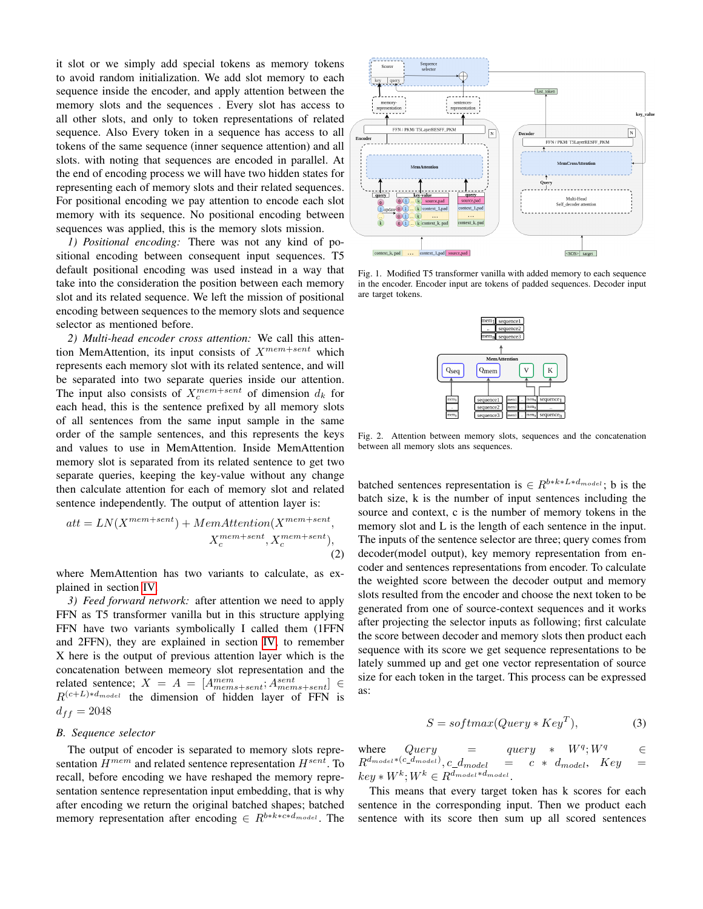it slot or we simply add special tokens as memory tokens to avoid random initialization. We add slot memory to each sequence inside the encoder, and apply attention between the memory slots and the sequences . Every slot has access to all other slots, and only to token representations of related sequence. Also Every token in a sequence has access to all tokens of the same sequence (inner sequence attention) and all slots. with noting that sequences are encoded in parallel. At the end of encoding process we will have two hidden states for representing each of memory slots and their related sequences. For positional encoding we pay attention to encode each slot memory with its sequence. No positional encoding between sequences was applied, this is the memory slots mission.

*1) Positional encoding:* There was not any kind of positional encoding between consequent input sequences. T5 default positional encoding was used instead in a way that take into the consideration the position between each memory slot and its related sequence. We left the mission of positional encoding between sequences to the memory slots and sequence selector as mentioned before.

<span id="page-2-1"></span>*2) Multi-head encoder cross attention:* We call this attention MemAttention, its input consists of  $X^{mem+sent}$  which represents each memory slot with its related sentence, and will be separated into two separate queries inside our attention. The input also consists of  $X_c^{mem+sent}$  of dimension  $d_k$  for each head, this is the sentence prefixed by all memory slots of all sentences from the same input sample in the same order of the sample sentences, and this represents the keys and values to use in MemAttention. Inside MemAttention memory slot is separated from its related sentence to get two separate queries, keeping the key-value without any change then calculate attention for each of memory slot and related sentence independently. The output of attention layer is:

$$
att = LN(X^{mem+sent}) + MemAttention(X^{mem+sent}, X_c^{mem+sent}),
$$
  

$$
X_c^{mem+sent}, X_c^{mem+sent}),
$$
  
(2)

where MemAttention has two variants to calculate, as explained in section [IV.](#page-3-0)

*3) Feed forward network:* after attention we need to apply FFN as T5 transformer vanilla but in this structure applying FFN have two variants symbolically I called them (1FFN and 2FFN), they are explained in section [IV,](#page-3-0) to remember X here is the output of previous attention layer which is the concatenation between memeory slot representation and the related sentence;  $X = A = [A^{mem}_{mems+sent}; A^{sent}_{mems+sent}] \in$  $R^{(c+L)*d_{model}}$  the dimension of hidden layer of FFN is  $d_{ff} = 2048$ 

## *B. Sequence selector*

The output of encoder is separated to memory slots representation  $H^{mem}$  and related sentence representation  $H^{sent}$ . To recall, before encoding we have reshaped the memory representation sentence representation input embedding, that is why after encoding we return the original batched shapes; batched memory representation after encoding  $\in R^{b*k*c*d_{model}}$ . The



<span id="page-2-0"></span>Fig. 1. Modified T5 transformer vanilla with added memory to each sequence in the encoder. Encoder input are tokens of padded sequences. Decoder input are target tokens.



Fig. 2. Attention between memory slots, sequences and the concatenation between all memory slots ans sequences.

batched sentences representation is  $\in R^{b*k * L*d_{model}}$ ; b is the batch size, k is the number of input sentences including the source and context, c is the number of memory tokens in the memory slot and L is the length of each sentence in the input. The inputs of the sentence selector are three; query comes from decoder(model output), key memory representation from encoder and sentences representations from encoder. To calculate the weighted score between the decoder output and memory slots resulted from the encoder and choose the next token to be generated from one of source-context sequences and it works after projecting the selector inputs as following; first calculate the score between decoder and memory slots then product each sequence with its score we get sequence representations to be lately summed up and get one vector representation of source size for each token in the target. This process can be expressed as:

$$
S = softmax(Query * KeyT),
$$
 (3)

where  $Query = query$  $W^q$ :  $W^q$  ∈  $R^{d_{model} * (c\_d_{model})}, c\_d_{model} = c * d_{model}, Key =$  $key * W^k; W^k \in R^{d_{model}*d_{model}}.$ 

This means that every target token has k scores for each sentence in the corresponding input. Then we product each sentence with its score then sum up all scored sentences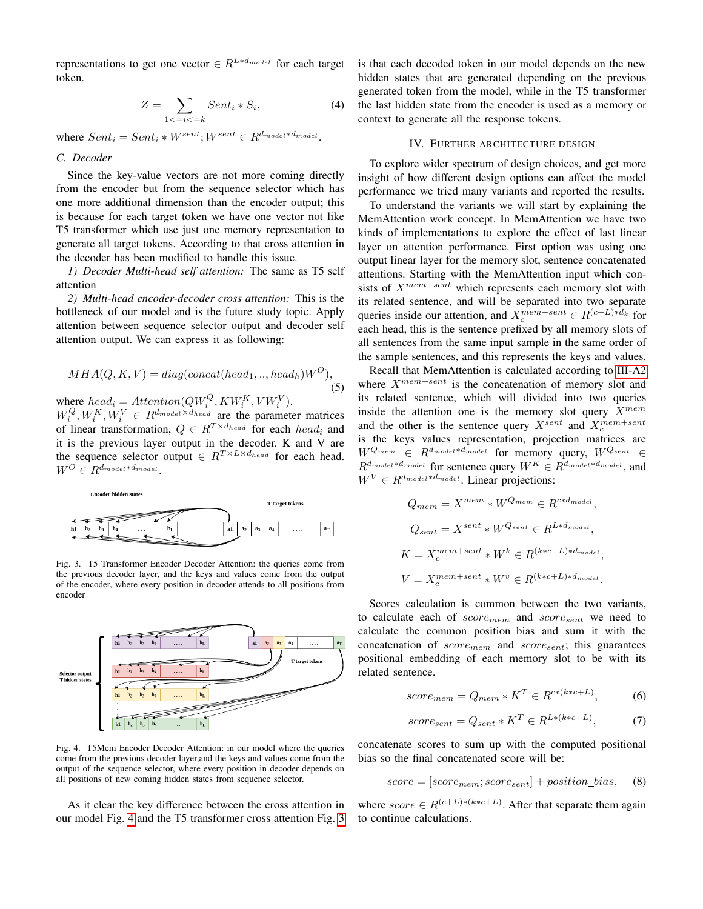representations to get one vector  $\in R^{L*d_{model}}$  for each target token.

$$
Z = \sum_{1 < i < k} Sent_i * S_i,\tag{4}
$$

where  $Sent_i = Sent_i * W^{sent}; W^{sent} \in R^{d_{model}*d_{model}}$ .

# *C. Decoder*

Since the key-value vectors are not more coming directly from the encoder but from the sequence selector which has one more additional dimension than the encoder output; this is because for each target token we have one vector not like T5 transformer which use just one memory representation to generate all target tokens. According to that cross attention in the decoder has been modified to handle this issue.

*1) Decoder Multi-head self attention:* The same as T5 self attention

*2) Multi-head encoder-decoder cross attention:* This is the bottleneck of our model and is the future study topic. Apply attention between sequence selector output and decoder self attention output. We can express it as following:

$$
MHA(Q, K, V) = diag(concat(head1, ..., headh)WO),
$$
\n(5)

where  $head_i =Attention(QW_i^Q, KW_i^K, VW_i^V)$ .  $W_i^Q, W_i^K, W_i^V \in R^{d_{model} \times d_{head}}$  are the parameter matrices of linear transformation,  $Q \in R^{T \times d_{head}}$  for each  $head_i$  and

it is the previous layer output in the decoder. K and V are the sequence selector output  $\in R^{T \times L \times d_{head}}$  for each head.  $W^O \in R^{d_{model}*d_{model}}$ .



<span id="page-3-2"></span>Fig. 3. T5 Transformer Encoder Decoder Attention: the queries come from the previous decoder layer, and the keys and values come from the output of the encoder, where every position in decoder attends to all positions from encoder



<span id="page-3-1"></span>Fig. 4. T5Mem Encoder Decoder Attention: in our model where the queries come from the previous decoder layer,and the keys and values come from the output of the sequence selector, where every position in decoder depends on all positions of new coming hidden states from sequence selector.

As it clear the key difference between the cross attention in our model Fig. [4](#page-3-1) and the T5 transformer cross attention Fig. [3](#page-3-2) is that each decoded token in our model depends on the new hidden states that are generated depending on the previous generated token from the model, while in the T5 transformer the last hidden state from the encoder is used as a memory or context to generate all the response tokens.

## IV. FURTHER ARCHITECTURE DESIGN

<span id="page-3-0"></span>To explore wider spectrum of design choices, and get more insight of how different design options can affect the model performance we tried many variants and reported the results.

To understand the variants we will start by explaining the MemAttention work concept. In MemAttention we have two kinds of implementations to explore the effect of last linear layer on attention performance. First option was using one output linear layer for the memory slot, sentence concatenated attentions. Starting with the MemAttention input which consists of  $X^{mem+sent}$  which represents each memory slot with its related sentence, and will be separated into two separate queries inside our attention, and  $X_c^{mem+sent} \in R^{(c+L)*d_k}$  for each head, this is the sentence prefixed by all memory slots of all sentences from the same input sample in the same order of the sample sentences, and this represents the keys and values.

Recall that MemAttention is calculated according to [III-A2](#page-2-1) where  $X^{mem+sent}$  is the concatenation of memory slot and its related sentence, which will divided into two queries inside the attention one is the memory slot query  $X^{mem}$ and the other is the sentence query  $X^{sent}$  and  $X_c^{mem+sent}$ is the keys values representation, projection matrices are  $W^{Q_{mem}} \in R^{d_{model}*d_{model}}$  for memory query,  $W^{Q_{sent}} \in R^{Q_{model}*Q_{model}}$  $R^{d_{model}*d_{model}}$  for sentence query  $W^K \in R^{d_{model}*d_{model}}$ , and  $W^{V} \in \mathbb{R}^{d_{model}*d_{model}}$ . Linear projections:

$$
Q_{mem} = X^{mem} * W^{Q_{mem}} \in R^{c*d_{model}},
$$
  
\n
$$
Q_{sent} = X^{sent} * W^{Q_{sent}} \in R^{L*d_{model}},
$$
  
\n
$$
K = X_c^{mem+sent} * W^k \in R^{(k*c+L)*d_{model}},
$$
  
\n
$$
V = X_c^{mem+sent} * W^v \in R^{(k*c+L)*d_{model}}.
$$

Scores calculation is common between the two variants, to calculate each of  $score_{mem}$  and  $score_{sent}$  we need to calculate the common position bias and sum it with the concatenation of  $score_{mem}$  and  $score_{sent}$ ; this guarantees positional embedding of each memory slot to be with its related sentence.

$$
score_{mem} = Q_{mem} * K^T \in R^{c*(k*c+L)},
$$
\n(6)

$$
score_{sent} = Q_{sent} * K^T \in R^{L*(k*c+L)},\tag{7}
$$

concatenate scores to sum up with the computed positional bias so the final concatenated score will be:

$$
score = [score_{mem}; score_{sent}] + position\_bias,
$$
 (8)

where  $score \in R^{(c+L)*(k*c+L)}$ . After that separate them again to continue calculations.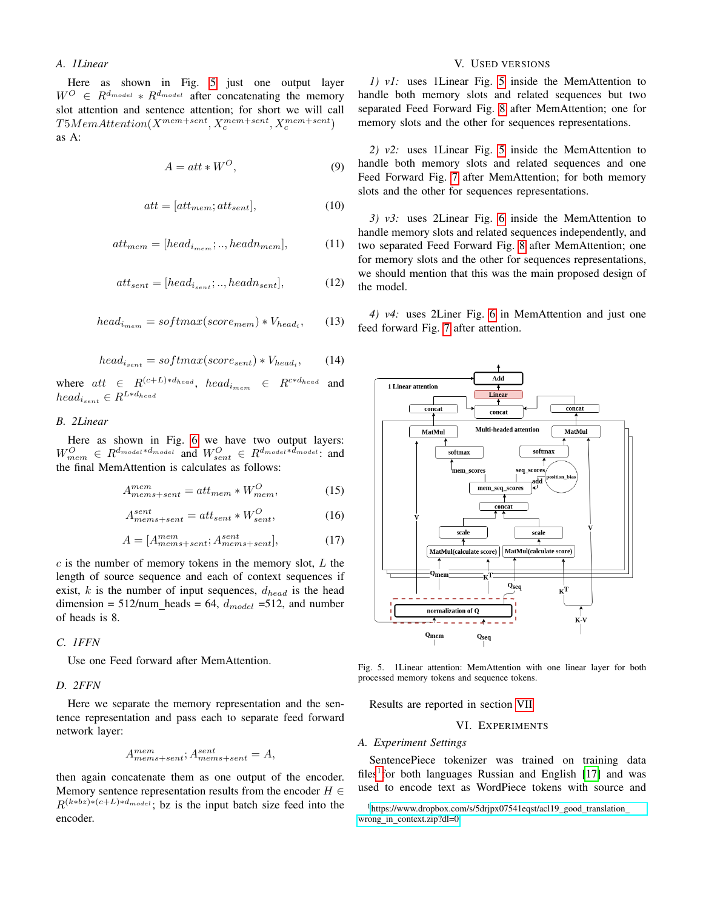# *A. 1Linear*

Here as shown in Fig. [5](#page-4-0) just one output layer  $W^{O} \in R^{d_{model}} * R^{d_{model}}$  after concatenating the memory slot attention and sentence attention; for short we will call  $T5MemAttention(X^{mem+sent}, X_c^{mem+sent}, X_c^{mem+sent})$ as A:

$$
A = att * W^O,
$$
 (9)

$$
att = [att_{mem}; att_{sent}], \t\t(10)
$$

$$
att_{mem} = [head_{i_{mem}};..,head_{mem}], \t(11)
$$

$$
att_{sent} = [head_{i_{sent}};..,head_{sent}], \t(12)
$$

$$
head_{i_{mem}} = softmax(score_{mem}) * V_{head_i}, \qquad (13)
$$

$$
head_{i_{sent}} = softmax(score_{sent}) * V_{head_i}, \qquad (14)
$$

where  $att \in R^{(c+L)*d_{head}}$ ,  $head_{i_{mem}} \in R^{c*d_{head}}$  and  $head_{i_{sent}} \in R^{L*d_{head}}$ 

# *B. 2Linear*

Here as shown in Fig. [6](#page-5-0) we have two output layers:  $W_{mem}^O$   $\in$   $R^{d_{model}*d_{model}}$  and  $W_{sent}^O$   $\in$   $R^{d_{model}*d_{model}}$ ; and the final MemAttention is calculates as follows:

$$
A_{mems+sent}^{mem} = att_{mem} * W_{mem}^O,
$$
 (15)

$$
A_{mems+sent}^{sent} = att_{sent} * W_{sent}^{O}, \tag{16}
$$

$$
A = [A_{mems+sent}^{mem; A_{mems+sent}^{sent}], \tag{17}
$$

 $c$  is the number of memory tokens in the memory slot,  $L$  the length of source sequence and each of context sequences if exist, k is the number of input sequences,  $d_{head}$  is the head dimension = 512/num\_heads = 64,  $d_{model}$  = 512, and number of heads is 8.

## *C. 1FFN*

Use one Feed forward after MemAttention.

## *D. 2FFN*

Here we separate the memory representation and the sentence representation and pass each to separate feed forward network layer:

$$
A^{mem}_{mems+sent}; A^{sent}_{mems+sent} = A,
$$

then again concatenate them as one output of the encoder. Memory sentence representation results from the encoder  $H \in$  $R^{(k*bz)*(c+L)*d_{model}}$ ; bz is the input batch size feed into the encoder.

# V. USED VERSIONS

*1) v1:* uses 1Linear Fig. [5](#page-4-0) inside the MemAttention to handle both memory slots and related sequences but two separated Feed Forward Fig. [8](#page-5-1) after MemAttention; one for memory slots and the other for sequences representations.

*2) v2:* uses 1Linear Fig. [5](#page-4-0) inside the MemAttention to handle both memory slots and related sequences and one Feed Forward Fig. [7](#page-5-2) after MemAttention; for both memory slots and the other for sequences representations.

*3) v3:* uses 2Linear Fig. [6](#page-5-0) inside the MemAttention to handle memory slots and related sequences independently, and two separated Feed Forward Fig. [8](#page-5-1) after MemAttention; one for memory slots and the other for sequences representations, we should mention that this was the main proposed design of the model.

*4) v4:* uses 2Liner Fig. [6](#page-5-0) in MemAttention and just one feed forward Fig. [7](#page-5-2) after attention.



<span id="page-4-0"></span>Fig. 5. 1Linear attention: MemAttention with one linear layer for both processed memory tokens and sequence tokens.

Results are reported in section [VII](#page-5-3)

# VI. EXPERIMENTS

### *A. Experiment Settings*

SentencePiece tokenizer was trained on training data files<sup>[1](#page-4-1)</sup> for both languages Russian and English [\[17\]](#page-6-16) and was used to encode text as WordPiece tokens with source and

<span id="page-4-1"></span><sup>&</sup>lt;sup>1</sup>[https://www.dropbox.com/s/5drjpx07541eqst/acl19](https://www.dropbox.com/s/5drjpx07541eqst/acl19_good_translation_wrong_in_context.zip?dl=0)\_good\_translation\_ wrong\_in\_[context.zip?dl=0](https://www.dropbox.com/s/5drjpx07541eqst/acl19_good_translation_wrong_in_context.zip?dl=0)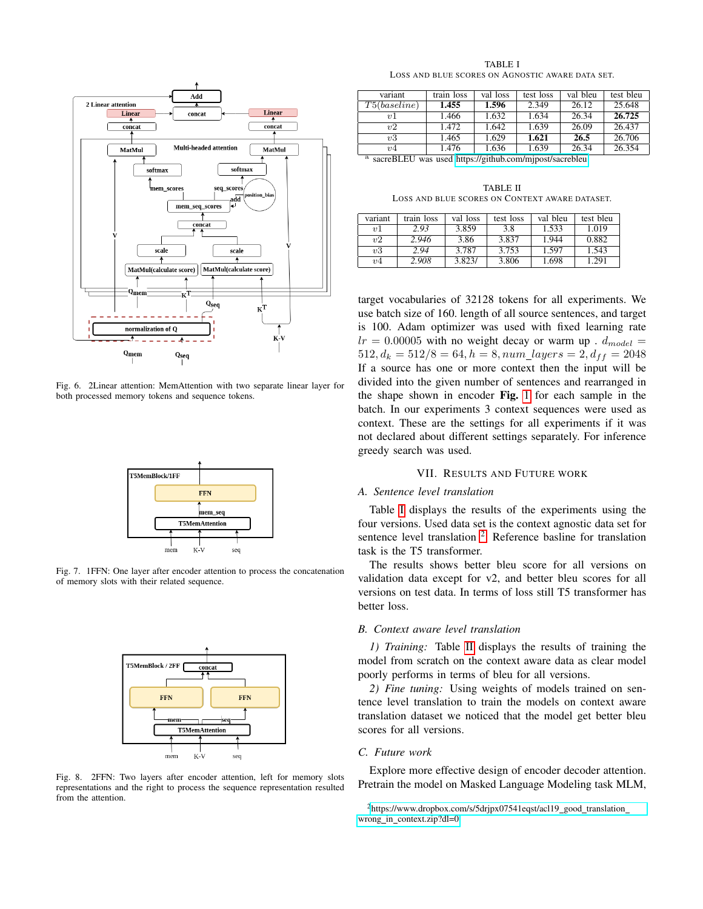

<span id="page-5-0"></span>Fig. 6. 2Linear attention: MemAttention with two separate linear layer for both processed memory tokens and sequence tokens.



<span id="page-5-2"></span>Fig. 7. 1FFN: One layer after encoder attention to process the concatenation of memory slots with their related sequence.



<span id="page-5-1"></span>Fig. 8. 2FFN: Two layers after encoder attention, left for memory slots representations and the right to process the sequence representation resulted from the attention.

TABLE I LOSS AND BLUE SCORES ON AGNOSTIC AWARE DATA SET.

<span id="page-5-4"></span>

| variant             | train loss | val loss | test loss | val bleu | test bleu |
|---------------------|------------|----------|-----------|----------|-----------|
| T5(baseline)        | 1.455      | 1.596    | 2.349     | 26.12    | 25.648    |
| $\eta$ <sup>1</sup> | 1.466      | 1.632    | 1.634     | 26.34    | 26.725    |
| v2                  | 1.472      | 1.642    | 1.639     | 26.09    | 26.437    |
| v3                  | 1.465      | 1.629    | 1.621     | 26.5     | 26.706    |
| v <sub>4</sub>      | 1.476      | 1.636    | 1.639     | 26.34    | 26.354    |

<sup>a</sup> sacreBLEU was used<https://github.com/mjpost/sacrebleu>

TABLE II LOSS AND BLUE SCORES ON CONTEXT AWARE DATASET.

<span id="page-5-6"></span>

| variant        | train loss | val loss | test loss | val bleu | test bleu |
|----------------|------------|----------|-----------|----------|-----------|
| v <sub>1</sub> | 2.93       | 3.859    | 3.8       | 1.533    | 1.019     |
| v2             | 2.946      | 3.86     | 3.837     | 1.944    | 0.882     |
| v3             | 2.94       | 3.787    | 3.753     | 1.597    | 1.543     |
| v <sub>4</sub> | 2.908      | 3.823/   | 3.806     | 1.698    | .291      |

target vocabularies of 32128 tokens for all experiments. We use batch size of 160. length of all source sentences, and target is 100. Adam optimizer was used with fixed learning rate  $lr = 0.00005$  with no weight decay or warm up .  $d_{model} =$  $512, d_k = 512/8 = 64, h = 8, num\_layers = 2, d_{ff} = 2048$ If a source has one or more context then the input will be divided into the given number of sentences and rearranged in the shape shown in encoder Fig. [1](#page-2-0) for each sample in the batch. In our experiments 3 context sequences were used as context. These are the settings for all experiments if it was not declared about different settings separately. For inference greedy search was used.

# VII. RESULTS AND FUTURE WORK

# <span id="page-5-3"></span>*A. Sentence level translation*

Table [I](#page-5-4) displays the results of the experiments using the four versions. Used data set is the context agnostic data set for sentence level translation  $2$ . Reference basline for translation task is the T5 transformer.

The results shows better bleu score for all versions on validation data except for v2, and better bleu scores for all versions on test data. In terms of loss still T5 transformer has better loss.

#### *B. Context aware level translation*

*1) Training:* Table [II](#page-5-6) displays the results of training the model from scratch on the context aware data as clear model poorly performs in terms of bleu for all versions.

*2) Fine tuning:* Using weights of models trained on sentence level translation to train the models on context aware translation dataset we noticed that the model get better bleu scores for all versions.

# *C. Future work*

Explore more effective design of encoder decoder attention. Pretrain the model on Masked Language Modeling task MLM,

<span id="page-5-5"></span> $2$ [https://www.dropbox.com/s/5drjpx07541eqst/acl19](https://www.dropbox.com/s/5drjpx07541eqst/acl19_good_translation_wrong_in_context.zip?dl=0)\_good\_translation\_ wrong\_in\_[context.zip?dl=0](https://www.dropbox.com/s/5drjpx07541eqst/acl19_good_translation_wrong_in_context.zip?dl=0)